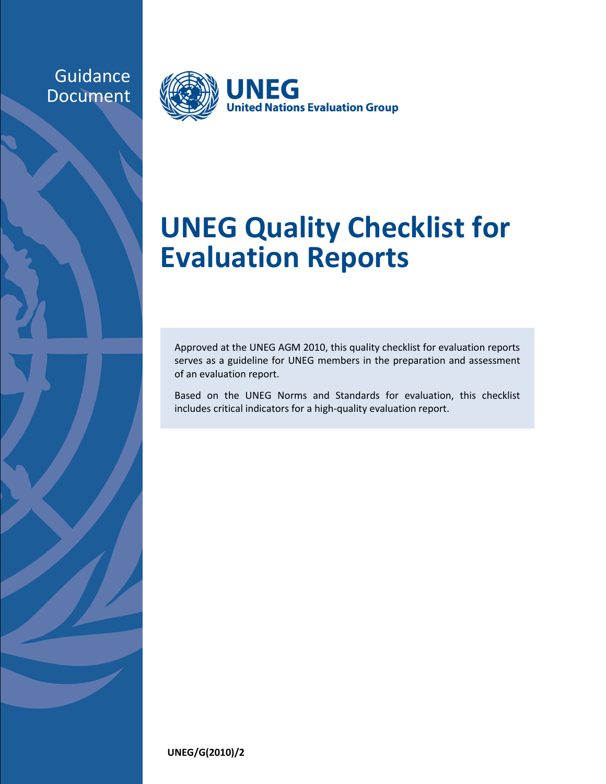## Guidance Document



## **UNEG Quality Checklist for Evaluation Reports**

Approved at the UNEG AGM 2010, this quality checklist for evaluation reports serves as a guideline for UNEG members in the preparation and assessment of an evaluation report.

Based on the UNEG Norms and Standards for evaluation, this checklist includes critical indicators for a high-quality evaluation report.

**UNEG/G(2010)/2**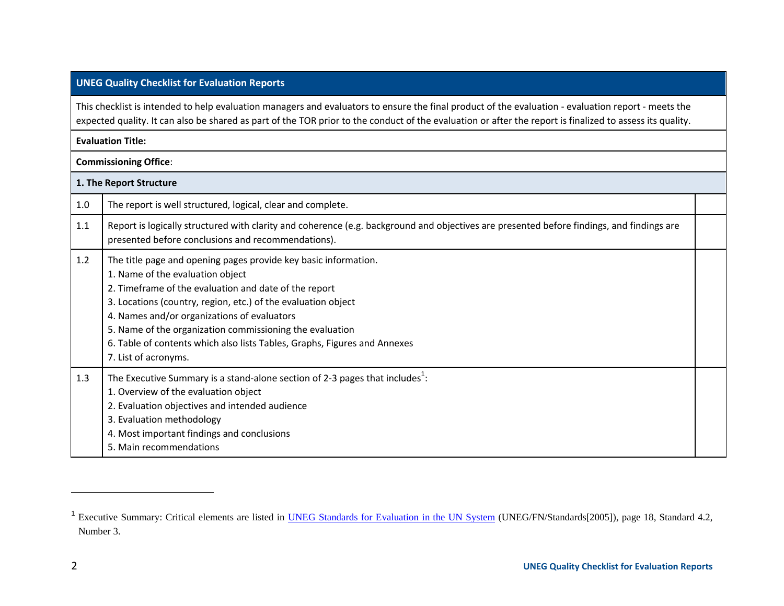## **UNEG Quality Checklist for Evaluation Reports**

This checklist is intended to help evaluation managers and evaluators to ensure the final product of the evaluation - evaluation report - meets the expected quality. It can also be shared as part of the TOR prior to the conduct of the evaluation or after the report is finalized to assess its quality.

## **Evaluation Title:**

**Commissioning Office**:

| 1. The Report Structure |                                                                                                                                                                                                                                                                                                                                                                                                                                               |  |  |
|-------------------------|-----------------------------------------------------------------------------------------------------------------------------------------------------------------------------------------------------------------------------------------------------------------------------------------------------------------------------------------------------------------------------------------------------------------------------------------------|--|--|
| 1.0                     | The report is well structured, logical, clear and complete.                                                                                                                                                                                                                                                                                                                                                                                   |  |  |
| 1.1                     | Report is logically structured with clarity and coherence (e.g. background and objectives are presented before findings, and findings are<br>presented before conclusions and recommendations).                                                                                                                                                                                                                                               |  |  |
| 1.2                     | The title page and opening pages provide key basic information.<br>1. Name of the evaluation object<br>2. Timeframe of the evaluation and date of the report<br>3. Locations (country, region, etc.) of the evaluation object<br>4. Names and/or organizations of evaluators<br>5. Name of the organization commissioning the evaluation<br>6. Table of contents which also lists Tables, Graphs, Figures and Annexes<br>7. List of acronyms. |  |  |
| 1.3                     | The Executive Summary is a stand-alone section of 2-3 pages that includes <sup>1</sup> :<br>1. Overview of the evaluation object<br>2. Evaluation objectives and intended audience<br>3. Evaluation methodology<br>4. Most important findings and conclusions<br>5. Main recommendations                                                                                                                                                      |  |  |

l

<sup>&</sup>lt;sup>1</sup> Executive Summary: Critical elements are listed in [UNEG Standards for Evaluation](http://www.unevaluation.org/unegstandards) in the UN System (UNEG/FN/Standards[2005]), page 18, Standard 4.2, Number 3.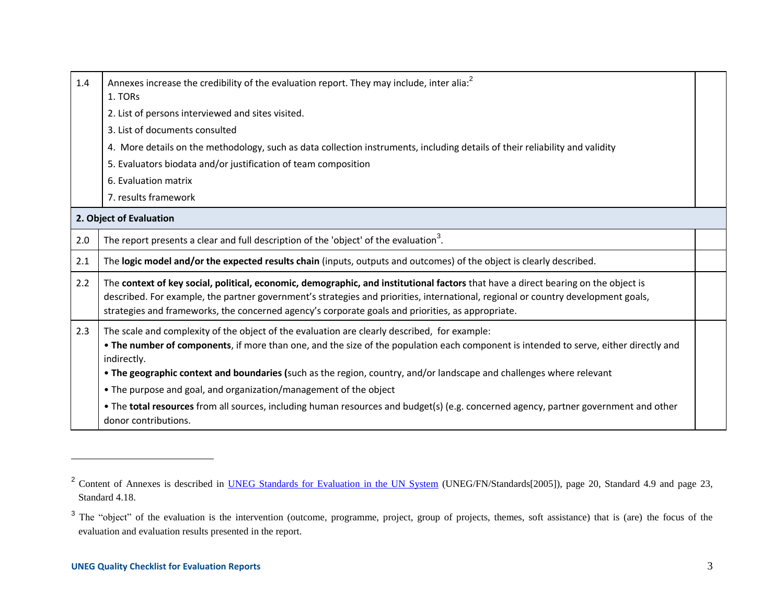| 1.4 | Annexes increase the credibility of the evaluation report. They may include, inter alia: <sup>2</sup><br>1. TORs                                                                                                                                                                                                                                                             |  |
|-----|------------------------------------------------------------------------------------------------------------------------------------------------------------------------------------------------------------------------------------------------------------------------------------------------------------------------------------------------------------------------------|--|
|     | 2. List of persons interviewed and sites visited.                                                                                                                                                                                                                                                                                                                            |  |
|     | 3. List of documents consulted                                                                                                                                                                                                                                                                                                                                               |  |
|     | 4. More details on the methodology, such as data collection instruments, including details of their reliability and validity                                                                                                                                                                                                                                                 |  |
|     | 5. Evaluators biodata and/or justification of team composition                                                                                                                                                                                                                                                                                                               |  |
|     | 6. Evaluation matrix                                                                                                                                                                                                                                                                                                                                                         |  |
|     | 7. results framework                                                                                                                                                                                                                                                                                                                                                         |  |
|     | 2. Object of Evaluation                                                                                                                                                                                                                                                                                                                                                      |  |
| 2.0 | The report presents a clear and full description of the 'object' of the evaluation <sup>3</sup> .                                                                                                                                                                                                                                                                            |  |
| 2.1 | The logic model and/or the expected results chain (inputs, outputs and outcomes) of the object is clearly described.                                                                                                                                                                                                                                                         |  |
| 2.2 | The context of key social, political, economic, demographic, and institutional factors that have a direct bearing on the object is<br>described. For example, the partner government's strategies and priorities, international, regional or country development goals,<br>strategies and frameworks, the concerned agency's corporate goals and priorities, as appropriate. |  |
| 2.3 | The scale and complexity of the object of the evaluation are clearly described, for example:<br>. The number of components, if more than one, and the size of the population each component is intended to serve, either directly and<br>indirectly.<br>. The geographic context and boundaries (such as the region, country, and/or landscape and challenges where relevant |  |
|     | • The purpose and goal, and organization/management of the object                                                                                                                                                                                                                                                                                                            |  |
|     | . The total resources from all sources, including human resources and budget(s) (e.g. concerned agency, partner government and other<br>donor contributions.                                                                                                                                                                                                                 |  |

l

<sup>&</sup>lt;sup>2</sup> Content of Annexes is described in **UNEG Standards for Evaluation in the UN System** (UNEG/FN/Standards[2005]), page 20, Standard 4.9 and page 23, Standard 4.18.

<sup>&</sup>lt;sup>3</sup> The "object" of the evaluation is the intervention (outcome, programme, project, group of projects, themes, soft assistance) that is (are) the focus of the evaluation and evaluation results presented in the report.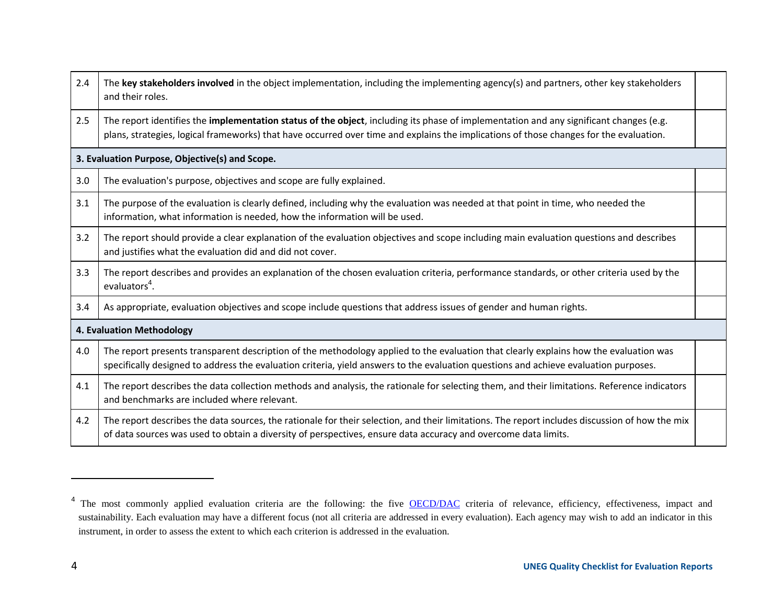| 2.4                       | The key stakeholders involved in the object implementation, including the implementing agency(s) and partners, other key stakeholders<br>and their roles.                                                                                                                                |  |  |
|---------------------------|------------------------------------------------------------------------------------------------------------------------------------------------------------------------------------------------------------------------------------------------------------------------------------------|--|--|
| 2.5                       | The report identifies the <b>implementation status of the object</b> , including its phase of implementation and any significant changes (e.g.<br>plans, strategies, logical frameworks) that have occurred over time and explains the implications of those changes for the evaluation. |  |  |
|                           | 3. Evaluation Purpose, Objective(s) and Scope.                                                                                                                                                                                                                                           |  |  |
| 3.0                       | The evaluation's purpose, objectives and scope are fully explained.                                                                                                                                                                                                                      |  |  |
| 3.1                       | The purpose of the evaluation is clearly defined, including why the evaluation was needed at that point in time, who needed the<br>information, what information is needed, how the information will be used.                                                                            |  |  |
| 3.2                       | The report should provide a clear explanation of the evaluation objectives and scope including main evaluation questions and describes<br>and justifies what the evaluation did and did not cover.                                                                                       |  |  |
| 3.3                       | The report describes and provides an explanation of the chosen evaluation criteria, performance standards, or other criteria used by the<br>evaluators <sup>4</sup> .                                                                                                                    |  |  |
| 3.4                       | As appropriate, evaluation objectives and scope include questions that address issues of gender and human rights.                                                                                                                                                                        |  |  |
| 4. Evaluation Methodology |                                                                                                                                                                                                                                                                                          |  |  |
| 4.0                       | The report presents transparent description of the methodology applied to the evaluation that clearly explains how the evaluation was<br>specifically designed to address the evaluation criteria, yield answers to the evaluation questions and achieve evaluation purposes.            |  |  |
| 4.1                       | The report describes the data collection methods and analysis, the rationale for selecting them, and their limitations. Reference indicators<br>and benchmarks are included where relevant.                                                                                              |  |  |
| 4.2                       | The report describes the data sources, the rationale for their selection, and their limitations. The report includes discussion of how the mix<br>of data sources was used to obtain a diversity of perspectives, ensure data accuracy and overcome data limits.                         |  |  |

l

<sup>&</sup>lt;sup>4</sup> The most commonly applied evaluation criteria are the following: the five **[OECD/DAC](http://www.oecd.org/dac/evaluationnetwork)** criteria of relevance, efficiency, effectiveness, impact and sustainability. Each evaluation may have a different focus (not all criteria are addressed in every evaluation). Each agency may wish to add an indicator in this instrument, in order to assess the extent to which each criterion is addressed in the evaluation.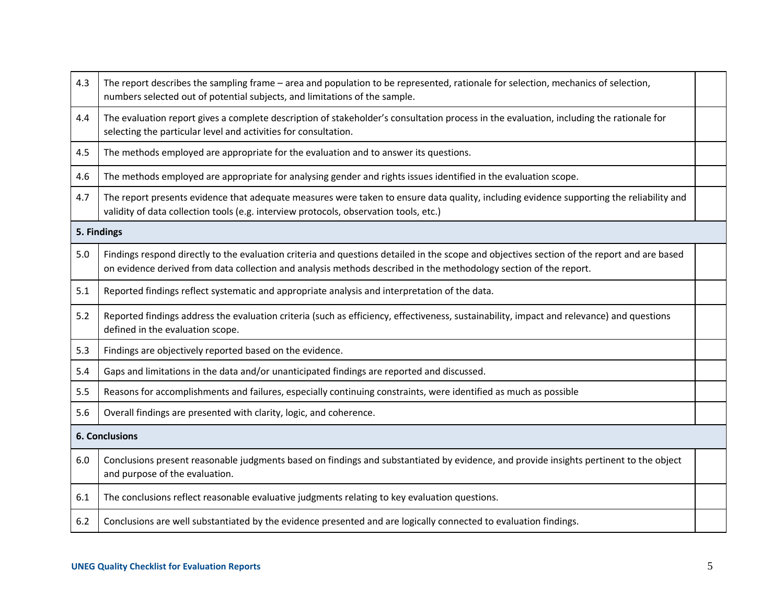| 4.3 | The report describes the sampling frame - area and population to be represented, rationale for selection, mechanics of selection,<br>numbers selected out of potential subjects, and limitations of the sample.                                                  |  |  |  |
|-----|------------------------------------------------------------------------------------------------------------------------------------------------------------------------------------------------------------------------------------------------------------------|--|--|--|
| 4.4 | The evaluation report gives a complete description of stakeholder's consultation process in the evaluation, including the rationale for<br>selecting the particular level and activities for consultation.                                                       |  |  |  |
| 4.5 | The methods employed are appropriate for the evaluation and to answer its questions.                                                                                                                                                                             |  |  |  |
| 4.6 | The methods employed are appropriate for analysing gender and rights issues identified in the evaluation scope.                                                                                                                                                  |  |  |  |
| 4.7 | The report presents evidence that adequate measures were taken to ensure data quality, including evidence supporting the reliability and<br>validity of data collection tools (e.g. interview protocols, observation tools, etc.)                                |  |  |  |
|     | 5. Findings                                                                                                                                                                                                                                                      |  |  |  |
| 5.0 | Findings respond directly to the evaluation criteria and questions detailed in the scope and objectives section of the report and are based<br>on evidence derived from data collection and analysis methods described in the methodology section of the report. |  |  |  |
| 5.1 | Reported findings reflect systematic and appropriate analysis and interpretation of the data.                                                                                                                                                                    |  |  |  |
| 5.2 | Reported findings address the evaluation criteria (such as efficiency, effectiveness, sustainability, impact and relevance) and questions<br>defined in the evaluation scope.                                                                                    |  |  |  |
| 5.3 | Findings are objectively reported based on the evidence.                                                                                                                                                                                                         |  |  |  |
| 5.4 | Gaps and limitations in the data and/or unanticipated findings are reported and discussed.                                                                                                                                                                       |  |  |  |
| 5.5 | Reasons for accomplishments and failures, especially continuing constraints, were identified as much as possible                                                                                                                                                 |  |  |  |
| 5.6 | Overall findings are presented with clarity, logic, and coherence.                                                                                                                                                                                               |  |  |  |
|     | 6. Conclusions                                                                                                                                                                                                                                                   |  |  |  |
| 6.0 | Conclusions present reasonable judgments based on findings and substantiated by evidence, and provide insights pertinent to the object<br>and purpose of the evaluation.                                                                                         |  |  |  |
| 6.1 | The conclusions reflect reasonable evaluative judgments relating to key evaluation questions.                                                                                                                                                                    |  |  |  |
| 6.2 | Conclusions are well substantiated by the evidence presented and are logically connected to evaluation findings.                                                                                                                                                 |  |  |  |